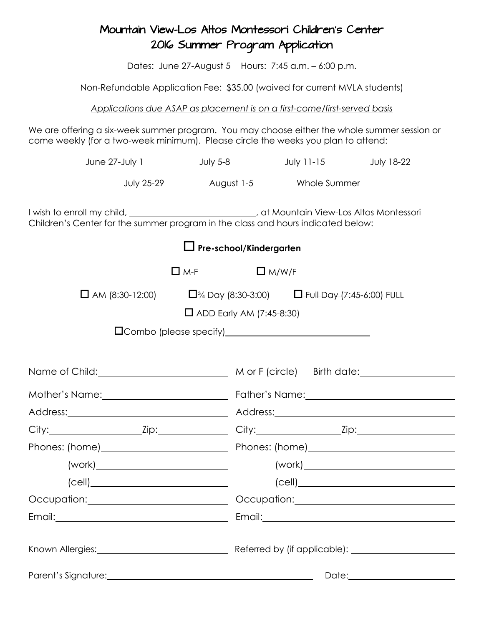## Mountain View-Los Altos Montessori Children's Center 2016 Summer Program Application

Dates: June 27-August 5 Hours: 7:45 a.m. – 6:00 p.m.

Non-Refundable Application Fee: \$35.00 (waived for current MVLA students)

## *Applications due ASAP as placement is on a first-come/first-served basis*

We are offering a six-week summer program. You may choose either the whole summer session or come weekly (for a two-week minimum). Please circle the weeks you plan to attend:

| June 27-July 1                                                                                                                                                                                                                       |            | July $5-8$   | July $11-15$            | <b>July 18-22</b>          |  |
|--------------------------------------------------------------------------------------------------------------------------------------------------------------------------------------------------------------------------------------|------------|--------------|-------------------------|----------------------------|--|
| <b>July 25-29</b>                                                                                                                                                                                                                    |            |              | August 1-5 Whole Summer |                            |  |
| I wish to enroll my child, __________________________, at Mountain View-Los Altos Montessori<br>Children's Center for the summer program in the class and hours indicated below:                                                     |            |              |                         |                            |  |
| $\Box$ Pre-school/Kindergarten                                                                                                                                                                                                       |            |              |                         |                            |  |
|                                                                                                                                                                                                                                      | $\Box$ M-F | $\Box$ M/W/F |                         |                            |  |
| □ AM (8:30-12:00) $\Box$ <sup>3</sup> /4 Day (8:30-3:00) $\Box$ Full Day (7:45-6:00) FULL                                                                                                                                            |            |              |                         |                            |  |
| $\Box$ ADD Early AM (7:45-8:30)                                                                                                                                                                                                      |            |              |                         |                            |  |
|                                                                                                                                                                                                                                      |            |              |                         |                            |  |
|                                                                                                                                                                                                                                      |            |              |                         |                            |  |
|                                                                                                                                                                                                                                      |            |              |                         |                            |  |
|                                                                                                                                                                                                                                      |            |              |                         |                            |  |
|                                                                                                                                                                                                                                      |            |              |                         |                            |  |
|                                                                                                                                                                                                                                      |            |              |                         |                            |  |
|                                                                                                                                                                                                                                      |            |              |                         |                            |  |
|                                                                                                                                                                                                                                      |            |              |                         |                            |  |
| $\left(\text{cell}\right)$                                                                                                                                                                                                           |            |              |                         | $\left(\text{cell}\right)$ |  |
| Occupation: Occupation: Occupation: Occupation:                                                                                                                                                                                      |            |              |                         |                            |  |
|                                                                                                                                                                                                                                      |            |              |                         |                            |  |
|                                                                                                                                                                                                                                      |            |              |                         |                            |  |
| Parent's Signature: <u>contained and a series of the series of the series of the series of the series of the series of the series of the series of the series of the series of the series of the series of the series of the ser</u> |            |              |                         | Date: 2000                 |  |